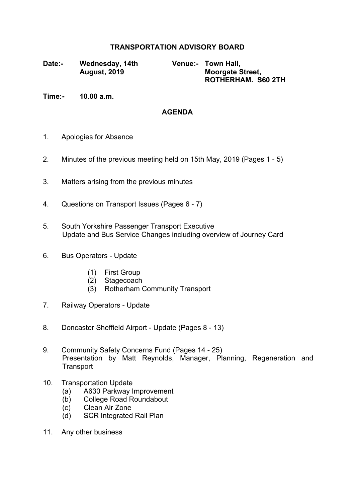## **TRANSPORTATION ADVISORY BOARD**

**Date:- Wednesday, 14th August, 2019**

**Venue:- Town Hall, Moorgate Street, ROTHERHAM. S60 2TH**

**Time:- 10.00 a.m.**

## **AGENDA**

- 1. Apologies for Absence
- 2. Minutes of the previous meeting held on 15th May, 2019 (Pages 1 5)
- 3. Matters arising from the previous minutes
- 4. Questions on Transport Issues (Pages 6 7)
- 5. South Yorkshire Passenger Transport Executive Update and Bus Service Changes including overview of Journey Card
- 6. Bus Operators Update
	- (1) First Group
	- (2) Stagecoach
	- (3) Rotherham Community Transport
- 7. Railway Operators Update
- 8. Doncaster Sheffield Airport Update (Pages 8 13)
- 9. Community Safety Concerns Fund (Pages 14 25) Presentation by Matt Reynolds, Manager, Planning, Regeneration and **Transport**
- 10. Transportation Update
	- (a) A630 Parkway Improvement
	- (b) College Road Roundabout
	- (c) Clean Air Zone
	- (d) SCR Integrated Rail Plan
- 11. Any other business